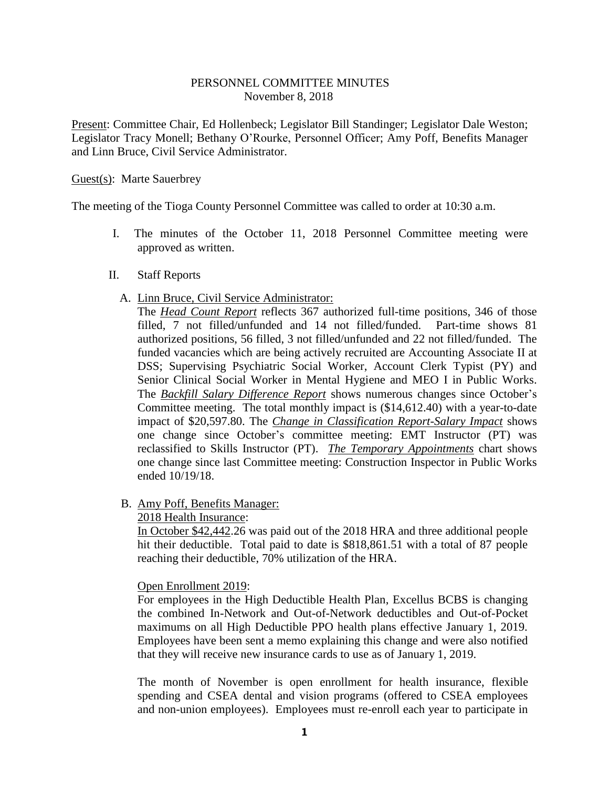## PERSONNEL COMMITTEE MINUTES November 8, 2018

Present: Committee Chair, Ed Hollenbeck; Legislator Bill Standinger; Legislator Dale Weston; Legislator Tracy Monell; Bethany O'Rourke, Personnel Officer; Amy Poff, Benefits Manager and Linn Bruce, Civil Service Administrator.

## Guest(s): Marte Sauerbrey

The meeting of the Tioga County Personnel Committee was called to order at 10:30 a.m.

- I. The minutes of the October 11, 2018 Personnel Committee meeting were approved as written.
- II. Staff Reports
	- A. Linn Bruce, Civil Service Administrator:

The *Head Count Report* reflects 367 authorized full-time positions, 346 of those filled, 7 not filled/unfunded and 14 not filled/funded. Part-time shows 81 authorized positions, 56 filled, 3 not filled/unfunded and 22 not filled/funded. The funded vacancies which are being actively recruited are Accounting Associate II at DSS; Supervising Psychiatric Social Worker, Account Clerk Typist (PY) and Senior Clinical Social Worker in Mental Hygiene and MEO I in Public Works. The *Backfill Salary Difference Report* shows numerous changes since October's Committee meeting. The total monthly impact is (\$14,612.40) with a year-to-date impact of \$20,597.80. The *Change in Classification Report-Salary Impact* shows one change since October's committee meeting: EMT Instructor (PT) was reclassified to Skills Instructor (PT). *The Temporary Appointments* chart shows one change since last Committee meeting: Construction Inspector in Public Works ended 10/19/18.

B. Amy Poff, Benefits Manager:

2018 Health Insurance:

In October \$42,442.26 was paid out of the 2018 HRA and three additional people hit their deductible. Total paid to date is \$818,861.51 with a total of 87 people reaching their deductible, 70% utilization of the HRA.

Open Enrollment 2019:

For employees in the High Deductible Health Plan, Excellus BCBS is changing the combined In-Network and Out-of-Network deductibles and Out-of-Pocket maximums on all High Deductible PPO health plans effective January 1, 2019. Employees have been sent a memo explaining this change and were also notified that they will receive new insurance cards to use as of January 1, 2019.

The month of November is open enrollment for health insurance, flexible spending and CSEA dental and vision programs (offered to CSEA employees and non-union employees). Employees must re-enroll each year to participate in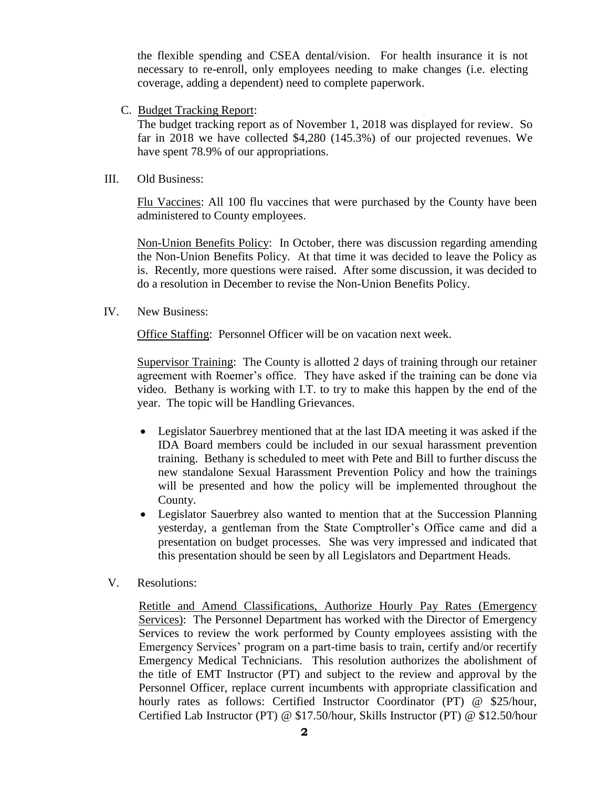the flexible spending and CSEA dental/vision. For health insurance it is not necessary to re-enroll, only employees needing to make changes (i.e. electing coverage, adding a dependent) need to complete paperwork.

C. Budget Tracking Report:

The budget tracking report as of November 1, 2018 was displayed for review. So far in 2018 we have collected \$4,280 (145.3%) of our projected revenues. We have spent 78.9% of our appropriations.

III. Old Business:

Flu Vaccines: All 100 flu vaccines that were purchased by the County have been administered to County employees.

Non-Union Benefits Policy: In October, there was discussion regarding amending the Non-Union Benefits Policy. At that time it was decided to leave the Policy as is. Recently, more questions were raised. After some discussion, it was decided to do a resolution in December to revise the Non-Union Benefits Policy.

IV. New Business:

Office Staffing: Personnel Officer will be on vacation next week.

Supervisor Training: The County is allotted 2 days of training through our retainer agreement with Roemer's office. They have asked if the training can be done via video. Bethany is working with I.T. to try to make this happen by the end of the year. The topic will be Handling Grievances.

- Legislator Sauerbrey mentioned that at the last IDA meeting it was asked if the IDA Board members could be included in our sexual harassment prevention training. Bethany is scheduled to meet with Pete and Bill to further discuss the new standalone Sexual Harassment Prevention Policy and how the trainings will be presented and how the policy will be implemented throughout the County.
- Legislator Sauerbrey also wanted to mention that at the Succession Planning yesterday, a gentleman from the State Comptroller's Office came and did a presentation on budget processes. She was very impressed and indicated that this presentation should be seen by all Legislators and Department Heads.
- V. Resolutions:

Retitle and Amend Classifications, Authorize Hourly Pay Rates (Emergency Services): The Personnel Department has worked with the Director of Emergency Services to review the work performed by County employees assisting with the Emergency Services' program on a part-time basis to train, certify and/or recertify Emergency Medical Technicians. This resolution authorizes the abolishment of the title of EMT Instructor (PT) and subject to the review and approval by the Personnel Officer, replace current incumbents with appropriate classification and hourly rates as follows: Certified Instructor Coordinator (PT) @ \$25/hour, Certified Lab Instructor (PT) @ \$17.50/hour, Skills Instructor (PT) @ \$12.50/hour